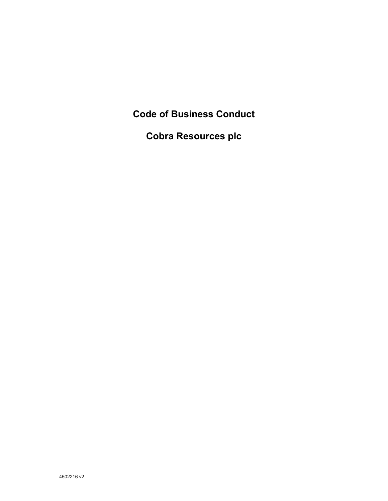**Code of Business Conduct** 

**Cobra Resources plc**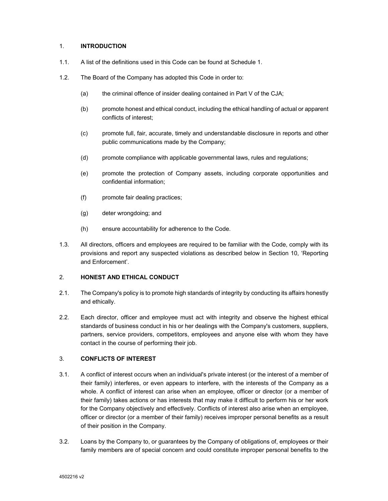#### 1. **INTRODUCTION**

- 1.1. A list of the definitions used in this Code can be found at Schedule 1.
- 1.2. The Board of the Company has adopted this Code in order to:
	- (a) the criminal offence of insider dealing contained in Part V of the CJA;
	- (b) promote honest and ethical conduct, including the ethical handling of actual or apparent conflicts of interest;
	- (c) promote full, fair, accurate, timely and understandable disclosure in reports and other public communications made by the Company;
	- (d) promote compliance with applicable governmental laws, rules and regulations;
	- (e) promote the protection of Company assets, including corporate opportunities and confidential information;
	- (f) promote fair dealing practices;
	- (g) deter wrongdoing; and
	- (h) ensure accountability for adherence to the Code.
- 1.3. All directors, officers and employees are required to be familiar with the Code, comply with its provisions and report any suspected violations as described below in Section 10, 'Reporting and Enforcement'.

## 2. **HONEST AND ETHICAL CONDUCT**

- 2.1. The Company's policy is to promote high standards of integrity by conducting its affairs honestly and ethically.
- 2.2. Each director, officer and employee must act with integrity and observe the highest ethical standards of business conduct in his or her dealings with the Company's customers, suppliers, partners, service providers, competitors, employees and anyone else with whom they have contact in the course of performing their job.

## 3. **CONFLICTS OF INTEREST**

- 3.1. A conflict of interest occurs when an individual's private interest (or the interest of a member of their family) interferes, or even appears to interfere, with the interests of the Company as a whole. A conflict of interest can arise when an employee, officer or director (or a member of their family) takes actions or has interests that may make it difficult to perform his or her work for the Company objectively and effectively. Conflicts of interest also arise when an employee, officer or director (or a member of their family) receives improper personal benefits as a result of their position in the Company.
- 3.2. Loans by the Company to, or guarantees by the Company of obligations of, employees or their family members are of special concern and could constitute improper personal benefits to the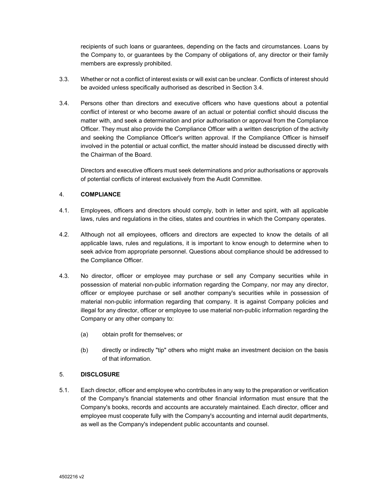recipients of such loans or guarantees, depending on the facts and circumstances. Loans by the Company to, or guarantees by the Company of obligations of, any director or their family members are expressly prohibited.

- 3.3. Whether or not a conflict of interest exists or will exist can be unclear. Conflicts of interest should be avoided unless specifically authorised as described in Section 3.4.
- 3.4. Persons other than directors and executive officers who have questions about a potential conflict of interest or who become aware of an actual or potential conflict should discuss the matter with, and seek a determination and prior authorisation or approval from the Compliance Officer. They must also provide the Compliance Officer with a written description of the activity and seeking the Compliance Officer's written approval. If the Compliance Officer is himself involved in the potential or actual conflict, the matter should instead be discussed directly with the Chairman of the Board.

Directors and executive officers must seek determinations and prior authorisations or approvals of potential conflicts of interest exclusively from the Audit Committee.

## 4. **COMPLIANCE**

- 4.1. Employees, officers and directors should comply, both in letter and spirit, with all applicable laws, rules and regulations in the cities, states and countries in which the Company operates.
- 4.2. Although not all employees, officers and directors are expected to know the details of all applicable laws, rules and regulations, it is important to know enough to determine when to seek advice from appropriate personnel. Questions about compliance should be addressed to the Compliance Officer.
- 4.3. No director, officer or employee may purchase or sell any Company securities while in possession of material non-public information regarding the Company, nor may any director, officer or employee purchase or sell another company's securities while in possession of material non-public information regarding that company. It is against Company policies and illegal for any director, officer or employee to use material non-public information regarding the Company or any other company to:
	- (a) obtain profit for themselves; or
	- (b) directly or indirectly "tip" others who might make an investment decision on the basis of that information.

## 5. **DISCLOSURE**

5.1. Each director, officer and employee who contributes in any way to the preparation or verification of the Company's financial statements and other financial information must ensure that the Company's books, records and accounts are accurately maintained. Each director, officer and employee must cooperate fully with the Company's accounting and internal audit departments, as well as the Company's independent public accountants and counsel.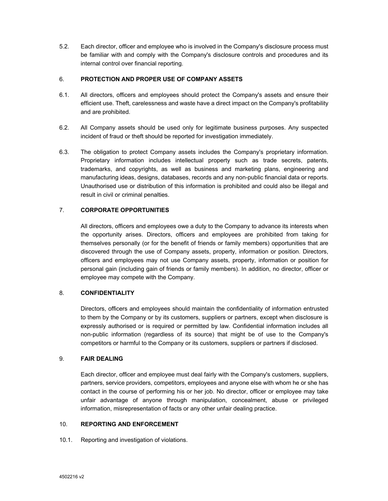5.2. Each director, officer and employee who is involved in the Company's disclosure process must be familiar with and comply with the Company's disclosure controls and procedures and its internal control over financial reporting.

## 6. **PROTECTION AND PROPER USE OF COMPANY ASSETS**

- 6.1. All directors, officers and employees should protect the Company's assets and ensure their efficient use. Theft, carelessness and waste have a direct impact on the Company's profitability and are prohibited.
- 6.2. All Company assets should be used only for legitimate business purposes. Any suspected incident of fraud or theft should be reported for investigation immediately.
- 6.3. The obligation to protect Company assets includes the Company's proprietary information. Proprietary information includes intellectual property such as trade secrets, patents, trademarks, and copyrights, as well as business and marketing plans, engineering and manufacturing ideas, designs, databases, records and any non-public financial data or reports. Unauthorised use or distribution of this information is prohibited and could also be illegal and result in civil or criminal penalties.

# 7. **CORPORATE OPPORTUNITIES**

All directors, officers and employees owe a duty to the Company to advance its interests when the opportunity arises. Directors, officers and employees are prohibited from taking for themselves personally (or for the benefit of friends or family members) opportunities that are discovered through the use of Company assets, property, information or position. Directors, officers and employees may not use Company assets, property, information or position for personal gain (including gain of friends or family members). In addition, no director, officer or employee may compete with the Company.

## 8. **CONFIDENTIALITY**

Directors, officers and employees should maintain the confidentiality of information entrusted to them by the Company or by its customers, suppliers or partners, except when disclosure is expressly authorised or is required or permitted by law. Confidential information includes all non-public information (regardless of its source) that might be of use to the Company's competitors or harmful to the Company or its customers, suppliers or partners if disclosed.

## 9. **FAIR DEALING**

Each director, officer and employee must deal fairly with the Company's customers, suppliers, partners, service providers, competitors, employees and anyone else with whom he or she has contact in the course of performing his or her job. No director, officer or employee may take unfair advantage of anyone through manipulation, concealment, abuse or privileged information, misrepresentation of facts or any other unfair dealing practice.

## 10. **REPORTING AND ENFORCEMENT**

10.1. Reporting and investigation of violations.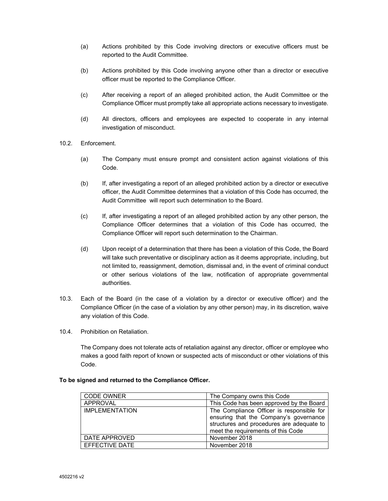- (a) Actions prohibited by this Code involving directors or executive officers must be reported to the Audit Committee.
- (b) Actions prohibited by this Code involving anyone other than a director or executive officer must be reported to the Compliance Officer.
- (c) After receiving a report of an alleged prohibited action, the Audit Committee or the Compliance Officer must promptly take all appropriate actions necessary to investigate.
- (d) All directors, officers and employees are expected to cooperate in any internal investigation of misconduct.
- 10.2. Enforcement.
	- (a) The Company must ensure prompt and consistent action against violations of this Code.
	- (b) If, after investigating a report of an alleged prohibited action by a director or executive officer, the Audit Committee determines that a violation of this Code has occurred, the Audit Committee will report such determination to the Board.
	- (c) If, after investigating a report of an alleged prohibited action by any other person, the Compliance Officer determines that a violation of this Code has occurred, the Compliance Officer will report such determination to the Chairman.
	- (d) Upon receipt of a determination that there has been a violation of this Code, the Board will take such preventative or disciplinary action as it deems appropriate, including, but not limited to, reassignment, demotion, dismissal and, in the event of criminal conduct or other serious violations of the law, notification of appropriate governmental authorities.
- 10.3. Each of the Board (in the case of a violation by a director or executive officer) and the Compliance Officer (in the case of a violation by any other person) may, in its discretion, waive any violation of this Code.
- 10.4. Prohibition on Retaliation.

The Company does not tolerate acts of retaliation against any director, officer or employee who makes a good faith report of known or suspected acts of misconduct or other violations of this Code.

| <b>CODE OWNER</b>     | The Company owns this Code                |
|-----------------------|-------------------------------------------|
| APPROVAL              | This Code has been approved by the Board  |
| <b>IMPLEMENTATION</b> | The Compliance Officer is responsible for |
|                       | ensuring that the Company's governance    |
|                       | structures and procedures are adequate to |
|                       | meet the requirements of this Code        |
| DATE APPROVED         | November 2018                             |
| EFFECTIVE DATE        | November 2018                             |

#### **To be signed and returned to the Compliance Officer.**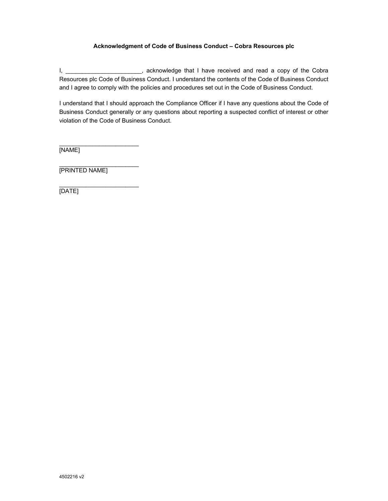## **Acknowledgment of Code of Business Conduct – Cobra Resources plc**

I, \_\_\_\_\_\_\_\_\_\_\_\_\_\_\_\_\_\_\_\_\_\_, acknowledge that I have received and read a copy of the Cobra Resources plc Code of Business Conduct. I understand the contents of the Code of Business Conduct and I agree to comply with the policies and procedures set out in the Code of Business Conduct.

I understand that I should approach the Compliance Officer if I have any questions about the Code of Business Conduct generally or any questions about reporting a suspected conflict of interest or other violation of the Code of Business Conduct.

 $\mathcal{L}_\text{max}$  , where  $\mathcal{L}_\text{max}$  and  $\mathcal{L}_\text{max}$ [NAME]

\_\_\_\_\_\_\_\_\_\_\_\_\_\_\_\_\_\_\_\_\_\_\_\_ [PRINTED NAME]

 $\mathcal{L}_\text{max}$  , where  $\mathcal{L}_\text{max}$  and  $\mathcal{L}_\text{max}$ [DATE]